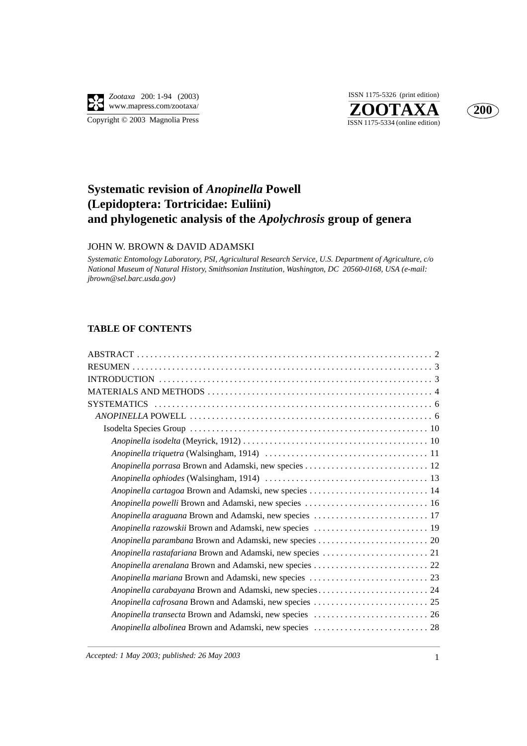

**ZOOTAXA**<br>ISSN 1175-5334 (online edition) ISSN 1175-5326 (print edition)



# **Systematic revision of** *Anopinella* **Powell (Lepidoptera: Tortricidae: Euliini) and phylogenetic analysis of the** *Apolychrosis* **group of genera**

### JOHN W. BROWN & DAVID ADAMSKI

*Systematic Entomology Laboratory, PSI, Agricultural Research Service, U.S. Department of Agriculture, c/o National Museum of Natural History, Smithsonian Institution, Washington, DC 20560-0168, USA (e-mail: jbrown@sel.barc.usda.gov)*

## **TABLE OF CONTENTS**

| Anopinella porrasa Brown and Adamski, new species  12   |  |
|---------------------------------------------------------|--|
|                                                         |  |
|                                                         |  |
|                                                         |  |
| Anopinella araguana Brown and Adamski, new species  17  |  |
| Anopinella razowskii Brown and Adamski, new species  19 |  |
|                                                         |  |
|                                                         |  |
|                                                         |  |
|                                                         |  |
|                                                         |  |
|                                                         |  |
|                                                         |  |
|                                                         |  |
|                                                         |  |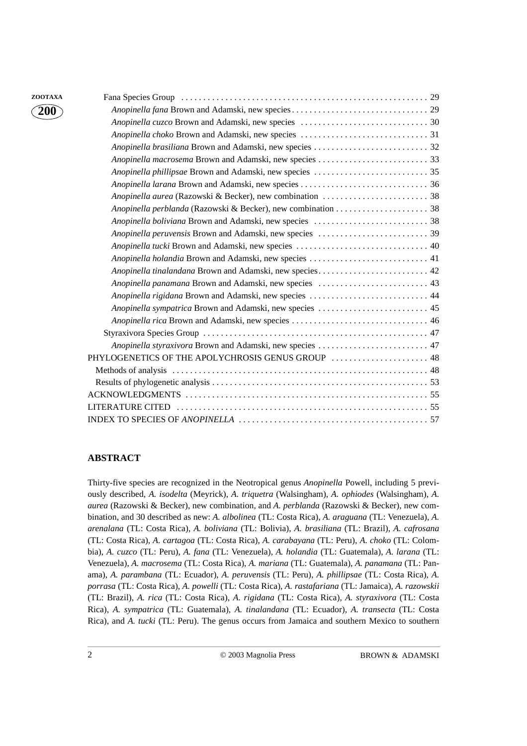| ZOOTAXA              |                                                           |  |
|----------------------|-----------------------------------------------------------|--|
| $\mathbf{\hat{200}}$ |                                                           |  |
|                      |                                                           |  |
|                      |                                                           |  |
|                      |                                                           |  |
|                      |                                                           |  |
|                      |                                                           |  |
|                      |                                                           |  |
|                      |                                                           |  |
|                      |                                                           |  |
|                      |                                                           |  |
|                      |                                                           |  |
|                      |                                                           |  |
|                      | Anopinella holandia Brown and Adamski, new species  41    |  |
|                      |                                                           |  |
|                      |                                                           |  |
|                      | Anopinella rigidana Brown and Adamski, new species  44    |  |
|                      | Anopinella sympatrica Brown and Adamski, new species  45  |  |
|                      |                                                           |  |
|                      |                                                           |  |
|                      | Anopinella styraxivora Brown and Adamski, new species  47 |  |
|                      | PHYLOGENETICS OF THE APOLYCHROSIS GENUS GROUP  48         |  |
|                      |                                                           |  |
|                      |                                                           |  |
|                      |                                                           |  |
|                      |                                                           |  |
|                      |                                                           |  |

## **ABSTRACT**

Thirty-five species are recognized in the Neotropical genus *Anopinella* Powell, including 5 previously described, *A. isodelta* (Meyrick), *A. triquetra* (Walsingham), *A. ophiodes* (Walsingham), *A. aurea* (Razowski & Becker), new combination, and *A. perblanda* (Razowski & Becker), new combination, and 30 described as new: *A. albolinea* (TL: Costa Rica), *A. araguana* (TL: Venezuela), *A. arenalana* (TL: Costa Rica), *A. boliviana* (TL: Bolivia), *A. brasiliana* (TL: Brazil), *A. cafrosana* (TL: Costa Rica), *A. cartagoa* (TL: Costa Rica), *A. carabayana* (TL: Peru), *A. choko* (TL: Colombia), *A. cuzco* (TL: Peru), *A. fana* (TL: Venezuela), *A. holandia* (TL: Guatemala), *A. larana* (TL: Venezuela), *A. macrosema* (TL: Costa Rica), *A. mariana* (TL: Guatemala), *A. panamana* (TL: Panama), *A. parambana* (TL: Ecuador), *A. peruvensis* (TL: Peru), *A. phillipsae* (TL: Costa Rica), *A. porrasa* (TL: Costa Rica), *A. powelli* (TL: Costa Rica), *A. rastafariana* (TL: Jamaica), *A. razowskii* (TL: Brazil), *A. rica* (TL: Costa Rica), *A. rigidana* (TL: Costa Rica), *A. styraxivora* (TL: Costa Rica), *A. sympatrica* (TL: Guatemala), *A. tinalandana* (TL: Ecuador), *A. transecta* (TL: Costa Rica), and *A. tucki* (TL: Peru). The genus occurs from Jamaica and southern Mexico to southern